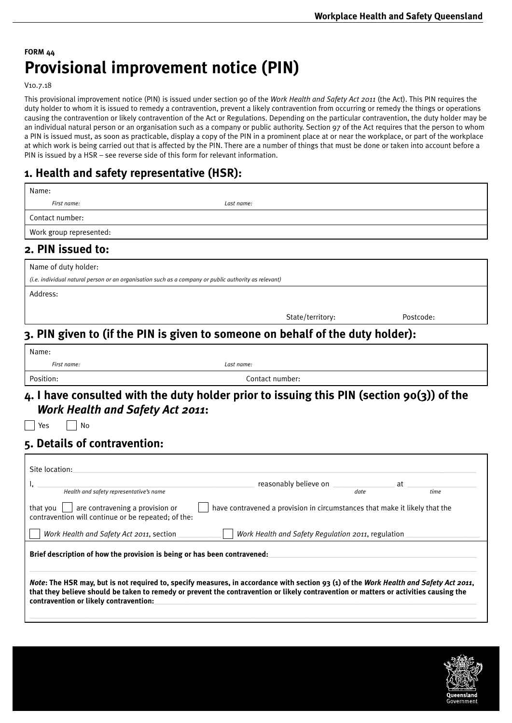## **FORM 44 Provisional improvement notice (PIN)**

V10.7.18

This provisional improvement notice (PIN) is issued under section 90 of the *Work Health and Safety Act 2011* (the Act). This PIN requires the duty holder to whom it is issued to remedy a contravention, prevent a likely contravention from occurring or remedy the things or operations causing the contravention or likely contravention of the Act or Regulations. Depending on the particular contravention, the duty holder may be an individual natural person or an organisation such as a company or public authority. Section 97 of the Act requires that the person to whom a PIN is issued must, as soon as practicable, display a copy of the PIN in a prominent place at or near the workplace, or part of the workplace at which work is being carried out that is affected by the PIN. There are a number of things that must be done or taken into account before a PIN is issued by a HSR – see reverse side of this form for relevant information.

### **1. Health and safety representative (HSR):**

| First name:                                                                                           | Last name:                                                                                |           |
|-------------------------------------------------------------------------------------------------------|-------------------------------------------------------------------------------------------|-----------|
| Contact number:                                                                                       |                                                                                           |           |
| Work group represented:                                                                               |                                                                                           |           |
| 2. PIN issued to:                                                                                     |                                                                                           |           |
| Name of duty holder:                                                                                  |                                                                                           |           |
| (i.e. individual natural person or an organisation such as a company or public authority as relevant) |                                                                                           |           |
| Address:                                                                                              |                                                                                           |           |
|                                                                                                       | State/territory:                                                                          | Postcode: |
|                                                                                                       | 3. PIN given to (if the PIN is given to someone on behalf of the duty holder):            |           |
| Name:                                                                                                 |                                                                                           |           |
|                                                                                                       |                                                                                           |           |
| First name:                                                                                           | Last name:                                                                                |           |
| Position:                                                                                             | Contact number:                                                                           |           |
| <b>Work Health and Safety Act 2011:</b><br>No<br>Yes                                                  | 4. I have consulted with the duty holder prior to issuing this PIN (section 90(3)) of the |           |
| 5. Details of contravention:                                                                          |                                                                                           |           |

Brief description of how the provision is being or has been contravened:

*Note***: The HSR may, but is not required to, specify measures, in accordance with section 93 (1) of the** *Work Health and Safety Act 2011***, that they believe should be taken to remedy or prevent the contravention or likely contravention or matters or activities causing the**  contravention or likely contravention:

 $\_$  , and the set of the set of the set of the set of the set of the set of the set of the set of the set of the set of the set of the set of the set of the set of the set of the set of the set of the set of the set of th

 $\_$  , and the set of the set of the set of the set of the set of the set of the set of the set of the set of the set of the set of the set of the set of the set of the set of the set of the set of the set of the set of th

*Work Health and Safety Act 2011*, section \_\_\_\_\_\_\_\_\_\_\_ *Work Health and Safety Regulation 2011*, regulation \_\_\_\_\_\_\_\_\_\_\_\_\_\_\_\_\_\_\_